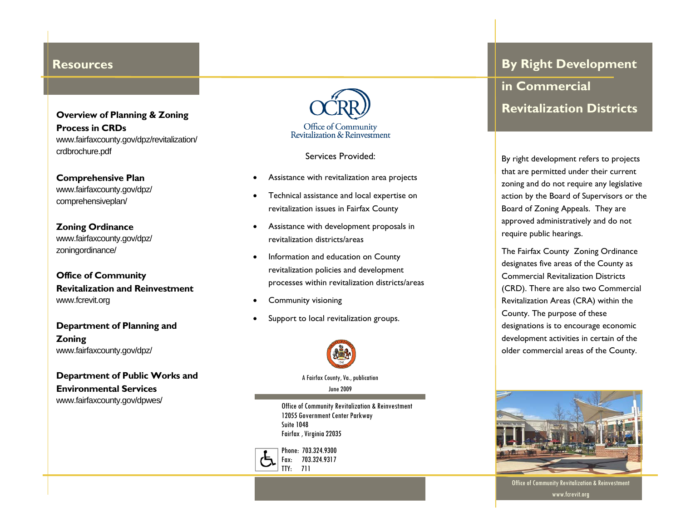### **Resources**

**Overview of Planning & Zoning Process in CRDs** www.fairfaxcounty.gov/dpz/revitalization/ crdbrochure.pdf

**Comprehensive Plan**  www.fairfaxcounty.gov/dpz/ comprehensiveplan/

**Zoning Ordinance**  www.fairfaxcounty.gov/dpz/ zoningordinance/

**Office of Community Revitalization and Reinvestment** www.fcrevit.org

### **Department of Planning and Zoning**

www.fairfaxcounty.gov/dpz/

**Department of Public Works and Environmental Services** www.fairfaxcounty.gov/dpwes/



Services Provided:

- $\bullet$ Assistance with revitalization area projects
- $\bullet$  Technical assistance and local expertise on revitalization issues in Fairfax County
- $\bullet$  Assistance with development proposals in revitalization districts/areas
- $\bullet$  Information and education on County revitalization policies and development processes within revitalization districts/areas
- $\bullet$ Community visioning
- $\bullet$ Support to local revitalization groups.



A Fairfax County, Va., publication June 2009

Office of Community Revitalization & Reinvestment 12055 Government Center Parkway Suite 1048 Fairfax , Virginia 22035



# **By Right Development in Commercial Revitalization Districts**

By right development refers to projects that are permitted under their current zoning and do not require any legislative action by the Board of Supervisors or the Board of Zoning Appeals. They are approved administratively and do not require public hearings.

The Fairfax County Zoning Ordinance designates five areas of the County as Commercial Revitalization Districts (CRD). There are also two Commercial Revitalization Areas (CRA) within the County. The purpose of these designations is to encourage economic development activities in certain of the older commercial areas of the County.



Office of Community Revitalization & Reinvestment www.fcrevit.org